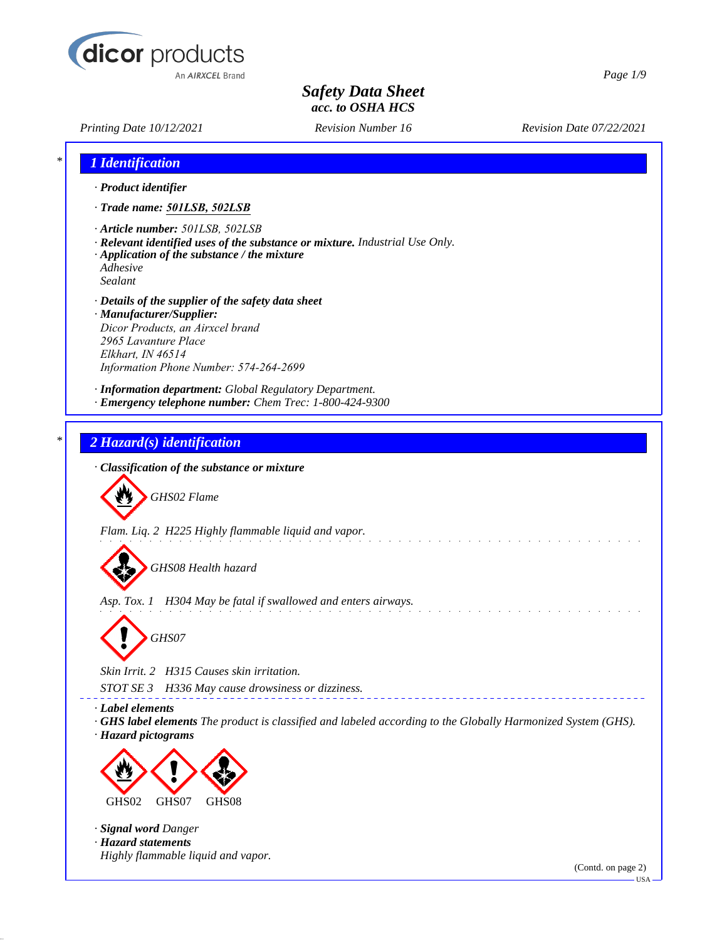

*Printing Date 10/12/2021 Revision Number 16 Revision Date 07/22/2021*

*Page 1/9*

| 1 Identification                            |                                                                                                                                                                        |  |
|---------------------------------------------|------------------------------------------------------------------------------------------------------------------------------------------------------------------------|--|
| · Product identifier                        |                                                                                                                                                                        |  |
|                                             | · Trade name: 501LSB, 502LSB                                                                                                                                           |  |
| Adhesive<br>Sealant                         | · Article number: 501LSB, 502LSB<br>· Relevant identified uses of the substance or mixture. Industrial Use Only.<br>$\cdot$ Application of the substance / the mixture |  |
| 2965 Lavanture Place<br>Elkhart, IN 46514   | · Details of the supplier of the safety data sheet<br>· Manufacturer/Supplier:<br>Dicor Products, an Airxcel brand<br>Information Phone Number: 574-264-2699           |  |
|                                             | · Information department: Global Regulatory Department.<br>· Emergency telephone number: Chem Trec: 1-800-424-9300                                                     |  |
|                                             | 2 Hazard(s) identification                                                                                                                                             |  |
|                                             | · Classification of the substance or mixture                                                                                                                           |  |
|                                             | GHS02 Flame                                                                                                                                                            |  |
|                                             | Flam. Liq. 2 H225 Highly flammable liquid and vapor.<br>GHS08 Health hazard                                                                                            |  |
|                                             | Asp. Tox. 1 H304 May be fatal if swallowed and enters airways.                                                                                                         |  |
|                                             | GHS07                                                                                                                                                                  |  |
|                                             | Skin Irrit. 2 H315 Causes skin irritation.                                                                                                                             |  |
| <i>STOT SE 3</i>                            | H336 May cause drowsiness or dizziness.                                                                                                                                |  |
| · Label elements<br>· Hazard pictograms     | GHS label elements The product is classified and labeled according to the Globally Harmonized System (GHS).                                                            |  |
|                                             |                                                                                                                                                                        |  |
| GHS02                                       | GHS08<br>GHS07                                                                                                                                                         |  |
|                                             |                                                                                                                                                                        |  |
| · Signal word Danger<br>· Hazard statements |                                                                                                                                                                        |  |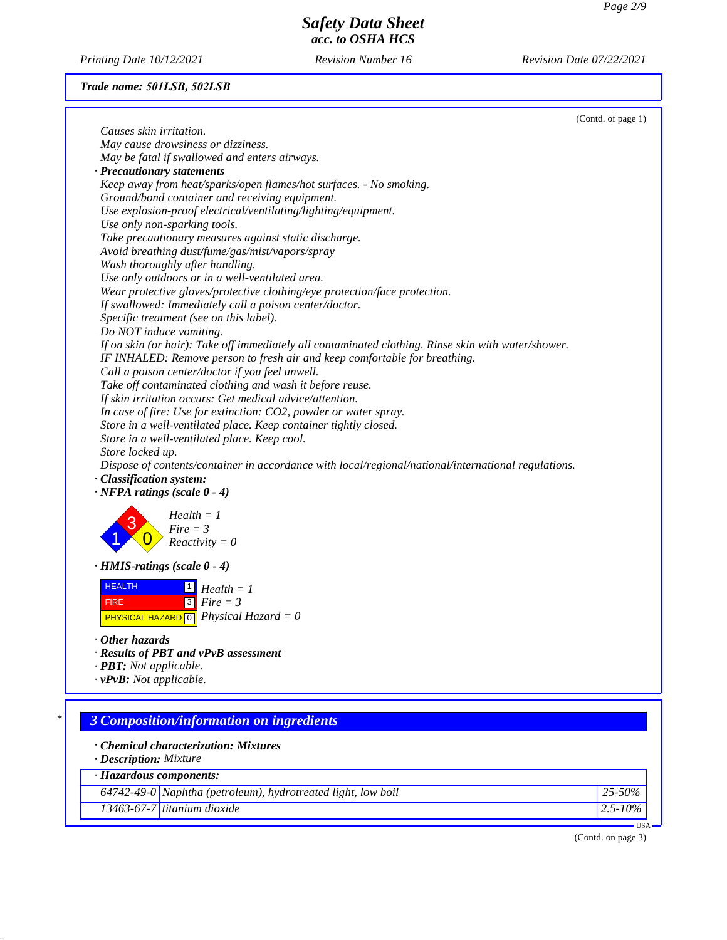*Printing Date 10/12/2021 Revision Number 16 Revision Date 07/22/2021*

# *Trade name: 501LSB, 502LSB*

|                                                                                                     | (Contd. of page 1) |
|-----------------------------------------------------------------------------------------------------|--------------------|
| Causes skin irritation.                                                                             |                    |
| May cause drowsiness or dizziness.                                                                  |                    |
| May be fatal if swallowed and enters airways.                                                       |                    |
| · Precautionary statements                                                                          |                    |
| Keep away from heat/sparks/open flames/hot surfaces. - No smoking.                                  |                    |
| Ground/bond container and receiving equipment.                                                      |                    |
| Use explosion-proof electrical/ventilating/lighting/equipment.                                      |                    |
| Use only non-sparking tools.                                                                        |                    |
| Take precautionary measures against static discharge.                                               |                    |
| Avoid breathing dust/fume/gas/mist/vapors/spray                                                     |                    |
| Wash thoroughly after handling.                                                                     |                    |
| Use only outdoors or in a well-ventilated area.                                                     |                    |
| Wear protective gloves/protective clothing/eye protection/face protection.                          |                    |
| If swallowed: Immediately call a poison center/doctor.                                              |                    |
| Specific treatment (see on this label).                                                             |                    |
| Do NOT induce vomiting.                                                                             |                    |
| If on skin (or hair): Take off immediately all contaminated clothing. Rinse skin with water/shower. |                    |
| IF INHALED: Remove person to fresh air and keep comfortable for breathing.                          |                    |
| Call a poison center/doctor if you feel unwell.                                                     |                    |
| Take off contaminated clothing and wash it before reuse.                                            |                    |
| If skin irritation occurs: Get medical advice/attention.                                            |                    |
| In case of fire: Use for extinction: CO2, powder or water spray.                                    |                    |
| Store in a well-ventilated place. Keep container tightly closed.                                    |                    |
| Store in a well-ventilated place. Keep cool.                                                        |                    |
| Store locked up.                                                                                    |                    |
| Dispose of contents/container in accordance with local/regional/national/international regulations. |                    |
| · Classification system:                                                                            |                    |
| $\cdot$ NFPA ratings (scale 0 - 4)                                                                  |                    |
| $Health = 1$<br>$Fire = 3$                                                                          |                    |
| $Reactivity = 0$                                                                                    |                    |
| $\cdot$ HMIS-ratings (scale 0 - 4)                                                                  |                    |
| <b>HEALTH</b><br>$Health = 1$                                                                       |                    |
| $3$ Fire = 3<br><b>FIRE</b>                                                                         |                    |
| <b>PHYSICAL HAZARD</b> $\boxed{0}$ <i>Physical Hazard</i> = 0                                       |                    |
|                                                                                                     |                    |
| Other hazards                                                                                       |                    |
| · Results of PBT and vPvB assessment                                                                |                    |
| · PBT: Not applicable.                                                                              |                    |
| $\cdot$ vPvB: Not applicable.                                                                       |                    |
|                                                                                                     |                    |
| *<br><b>3 Composition/information on ingredients</b>                                                |                    |
|                                                                                                     |                    |
| · Chemical characterization: Mixtures                                                               |                    |
| · Description: Mixture                                                                              |                    |
| · Hazardous components:                                                                             |                    |
| $64742-49-0$ Naphtha (petroleum), hydrotreated light, low boil                                      | 25-50%             |
| $13463 - 67 - 7$ titanium dioxide                                                                   | $2.5 - 10\%$       |
|                                                                                                     | $USA -$            |

(Contd. on page 3)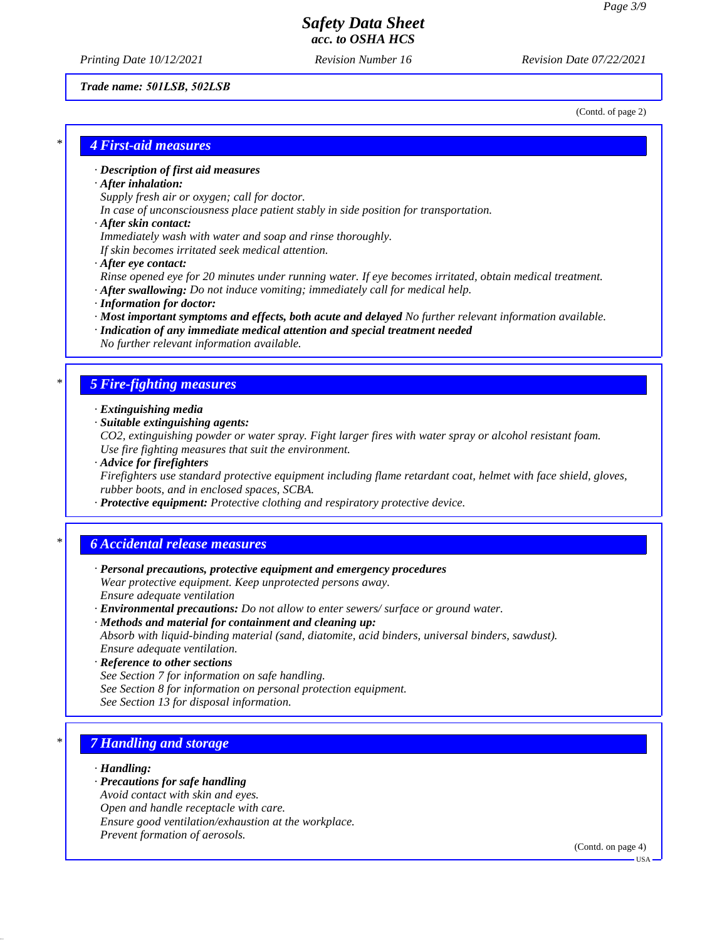*Printing Date 10/12/2021 Revision Number 16 Revision Date 07/22/2021*

#### *Trade name: 501LSB, 502LSB*

(Contd. of page 2)

## *\* 4 First-aid measures*

### *· Description of first aid measures*

#### *· After inhalation:*

*Supply fresh air or oxygen; call for doctor.*

*In case of unconsciousness place patient stably in side position for transportation.*

#### *· After skin contact:*

*Immediately wash with water and soap and rinse thoroughly.*

*If skin becomes irritated seek medical attention.*

*· After eye contact:*

*Rinse opened eye for 20 minutes under running water. If eye becomes irritated, obtain medical treatment.*

- *· After swallowing: Do not induce vomiting; immediately call for medical help.*
- *· Information for doctor:*
- *· Most important symptoms and effects, both acute and delayed No further relevant information available.*
- *· Indication of any immediate medical attention and special treatment needed No further relevant information available.*

### *\* 5 Fire-fighting measures*

- *· Extinguishing media*
- *· Suitable extinguishing agents:*
- *CO2, extinguishing powder or water spray. Fight larger fires with water spray or alcohol resistant foam. Use fire fighting measures that suit the environment.*
- *· Advice for firefighters*

*Firefighters use standard protective equipment including flame retardant coat, helmet with face shield, gloves, rubber boots, and in enclosed spaces, SCBA.*

*· Protective equipment: Protective clothing and respiratory protective device.*

## *\* 6 Accidental release measures*

- *· Personal precautions, protective equipment and emergency procedures Wear protective equipment. Keep unprotected persons away. Ensure adequate ventilation*
- *· Environmental precautions: Do not allow to enter sewers/ surface or ground water.*
- *· Methods and material for containment and cleaning up: Absorb with liquid-binding material (sand, diatomite, acid binders, universal binders, sawdust). Ensure adequate ventilation.*
- *· Reference to other sections*
- *See Section 7 for information on safe handling.*
- *See Section 8 for information on personal protection equipment.*
- *See Section 13 for disposal information.*

# *\* 7 Handling and storage*

#### *· Handling:*

- *· Precautions for safe handling*
- *Avoid contact with skin and eyes.*
- *Open and handle receptacle with care.*
- *Ensure good ventilation/exhaustion at the workplace.*
- *Prevent formation of aerosols.*

(Contd. on page 4)

USA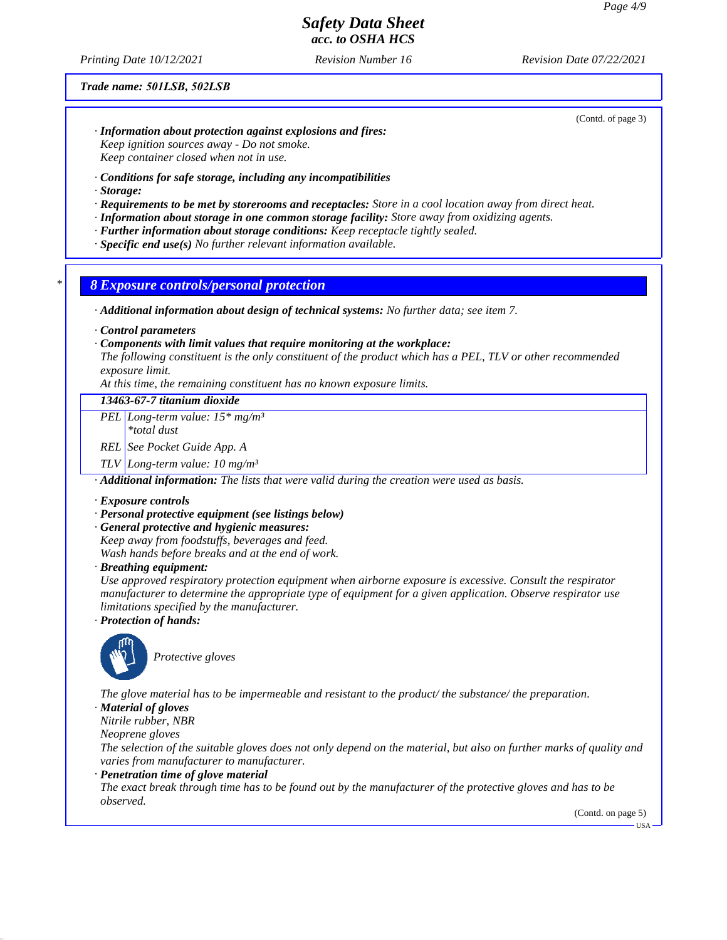*Printing Date 10/12/2021 Revision Number 16 Revision Date 07/22/2021*

#### *Trade name: 501LSB, 502LSB*

(Contd. of page 3)

- *· Information about protection against explosions and fires: Keep ignition sources away - Do not smoke. Keep container closed when not in use.*
- *· Conditions for safe storage, including any incompatibilities*
- *· Storage:*
- *· Requirements to be met by storerooms and receptacles: Store in a cool location away from direct heat.*
- *· Information about storage in one common storage facility: Store away from oxidizing agents.*
- *· Further information about storage conditions: Keep receptacle tightly sealed.*
- *· Specific end use(s) No further relevant information available.*

### *\* 8 Exposure controls/personal protection*

*· Additional information about design of technical systems: No further data; see item 7.*

*· Control parameters*

#### *· Components with limit values that require monitoring at the workplace:*

*The following constituent is the only constituent of the product which has a PEL, TLV or other recommended exposure limit.*

*At this time, the remaining constituent has no known exposure limits.*

## *13463-67-7 titanium dioxide*

*PEL Long-term value: 15\* mg/m³*

*\*total dust*

*REL See Pocket Guide App. A*

*TLV Long-term value: 10 mg/m³*

*· Additional information: The lists that were valid during the creation were used as basis.*

#### *· Exposure controls*

#### *· Personal protective equipment (see listings below)*

*· General protective and hygienic measures:*

*Keep away from foodstuffs, beverages and feed.*

*Wash hands before breaks and at the end of work.*

*· Breathing equipment:*

*Use approved respiratory protection equipment when airborne exposure is excessive. Consult the respirator manufacturer to determine the appropriate type of equipment for a given application. Observe respirator use limitations specified by the manufacturer.*

*· Protection of hands:*



*Protective gloves*

*The glove material has to be impermeable and resistant to the product/ the substance/ the preparation.*

*· Material of gloves*

*Nitrile rubber, NBR*

*Neoprene gloves*

*The selection of the suitable gloves does not only depend on the material, but also on further marks of quality and varies from manufacturer to manufacturer.*

*· Penetration time of glove material*

*The exact break through time has to be found out by the manufacturer of the protective gloves and has to be observed.*

(Contd. on page 5)

**HSA**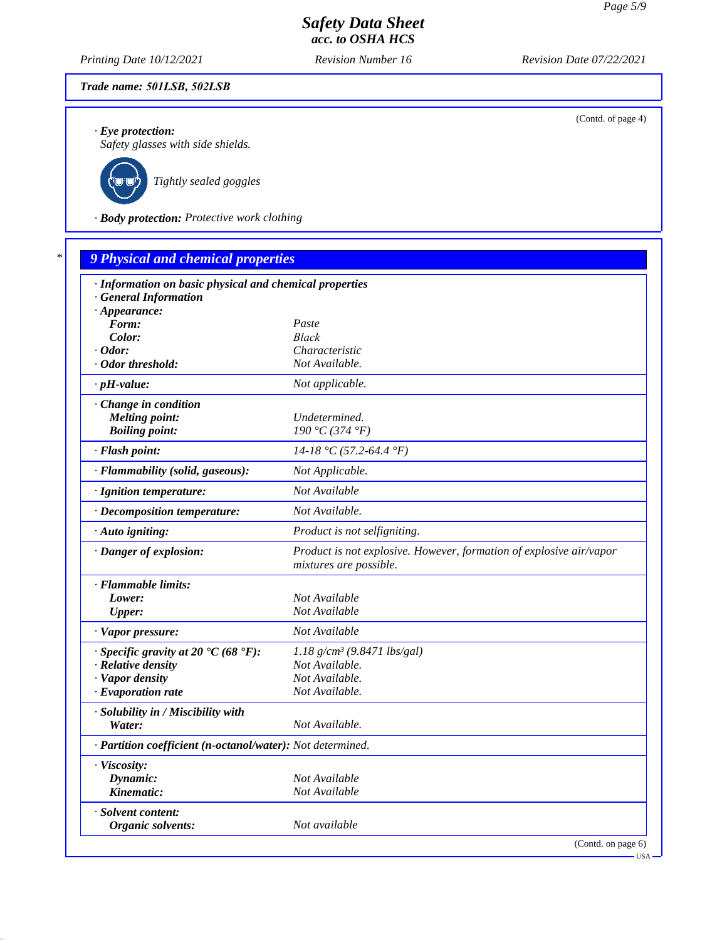*Printing Date 10/12/2021 Revision Number 16 Revision Date 07/22/2021*

## *Trade name: 501LSB, 502LSB*

*· Eye protection:*

*Safety glasses with side shields.*



*Tightly sealed goggles*

*· Body protection: Protective work clothing*

| · Information on basic physical and chemical properties    |                                                                                               |
|------------------------------------------------------------|-----------------------------------------------------------------------------------------------|
| · General Information                                      |                                                                                               |
| $\cdot$ Appearance:                                        |                                                                                               |
| Form:                                                      | Paste                                                                                         |
| Color:                                                     | <b>Black</b>                                                                                  |
| $\cdot$ Odor:                                              | Characteristic                                                                                |
| · Odor threshold:                                          | Not Available.                                                                                |
| $\cdot$ pH-value:                                          | Not applicable.                                                                               |
| · Change in condition                                      |                                                                                               |
| <b>Melting point:</b>                                      | Undetermined.                                                                                 |
| <b>Boiling point:</b>                                      | 190 °C (374 °F)                                                                               |
| · Flash point:                                             | $14-18$ °C (57.2-64.4 °F)                                                                     |
| · Flammability (solid, gaseous):                           | Not Applicable.                                                                               |
| · Ignition temperature:                                    | Not Available                                                                                 |
| · Decomposition temperature:                               | Not Available.                                                                                |
| · Auto igniting:                                           | Product is not selfigniting.                                                                  |
| · Danger of explosion:                                     | Product is not explosive. However, formation of explosive air/vapor<br>mixtures are possible. |
| · Flammable limits:                                        |                                                                                               |
| Lower:                                                     | Not Available                                                                                 |
| <b>Upper:</b>                                              | Not Available                                                                                 |
| · Vapor pressure:                                          | Not Available                                                                                 |
| $\cdot$ Specific gravity at 20 °C (68 °F):                 | $1.18$ g/cm <sup>3</sup> (9.8471 lbs/gal)                                                     |
| · Relative density                                         | Not Available.                                                                                |
| · Vapor density                                            | Not Available.                                                                                |
| $\cdot$ Evaporation rate                                   | Not Available.                                                                                |
| · Solubility in / Miscibility with                         |                                                                                               |
| Water:                                                     | Not Available.                                                                                |
| · Partition coefficient (n-octanol/water): Not determined. |                                                                                               |
| · Viscosity:                                               |                                                                                               |
| Dynamic:                                                   | Not Available                                                                                 |
| Kinematic:                                                 | Not Available                                                                                 |
| · Solvent content:                                         |                                                                                               |
| Organic solvents:                                          | Not available                                                                                 |

(Contd. of page 4)

USA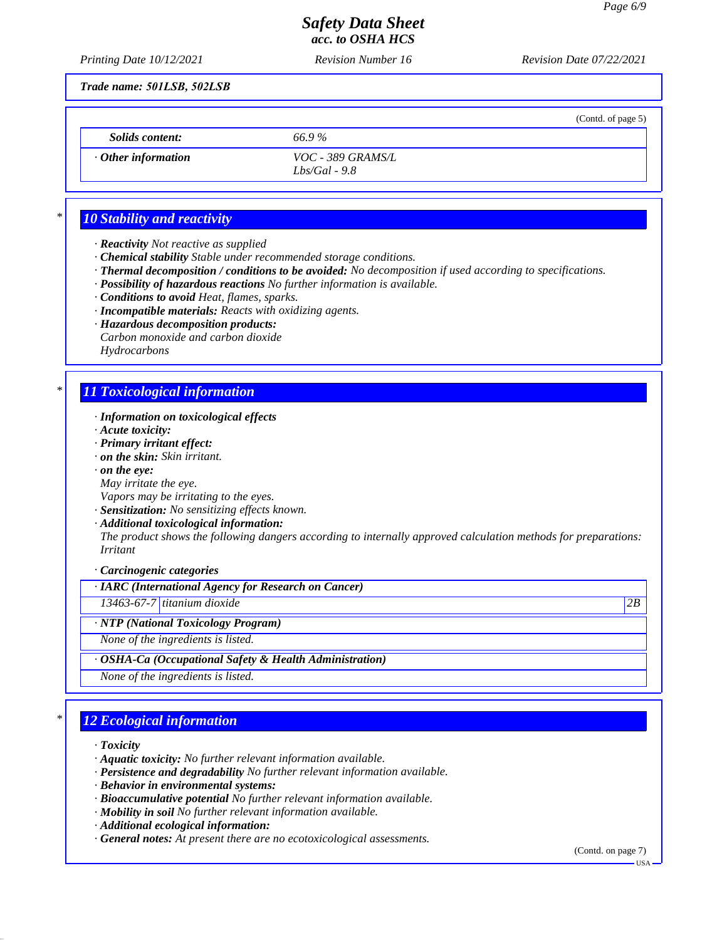(Contd. of page 5)

# *Safety Data Sheet acc. to OSHA HCS*

*Printing Date 10/12/2021 Revision Number 16 Revision Date 07/22/2021*

*Trade name: 501LSB, 502LSB*

*Solids content: 66.9 %*

*· Other information VOC - 389 GRAMS/L Lbs/Gal - 9.8*

# *\* 10 Stability and reactivity*

- *· Reactivity Not reactive as supplied*
- *· Chemical stability Stable under recommended storage conditions.*
- *· Thermal decomposition / conditions to be avoided: No decomposition if used according to specifications.*
- *· Possibility of hazardous reactions No further information is available.*
- *· Conditions to avoid Heat, flames, sparks.*
- *· Incompatible materials: Reacts with oxidizing agents.*
- *· Hazardous decomposition products:*
- *Carbon monoxide and carbon dioxide Hydrocarbons*

# *\* 11 Toxicological information*

- *· Information on toxicological effects*
- *· Acute toxicity:*
- *· Primary irritant effect:*
- *· on the skin: Skin irritant.*
- *· on the eye:*
- *May irritate the eye.*
- *Vapors may be irritating to the eyes.*
- *· Sensitization: No sensitizing effects known.*
- *· Additional toxicological information:*

*The product shows the following dangers according to internally approved calculation methods for preparations: Irritant*

*· Carcinogenic categories*

## *· IARC (International Agency for Research on Cancer)*

*13463-67-7 titanium dioxide 2B*

*· NTP (National Toxicology Program)*

*None of the ingredients is listed.*

### *· OSHA-Ca (Occupational Safety & Health Administration)*

*None of the ingredients is listed.*

# *\* 12 Ecological information*

- *· Toxicity*
- *· Aquatic toxicity: No further relevant information available.*
- *· Persistence and degradability No further relevant information available.*
- *· Behavior in environmental systems:*
- *· Bioaccumulative potential No further relevant information available.*
- *· Mobility in soil No further relevant information available.*
- *· Additional ecological information:*
- *· General notes: At present there are no ecotoxicological assessments.*

(Contd. on page 7)

USA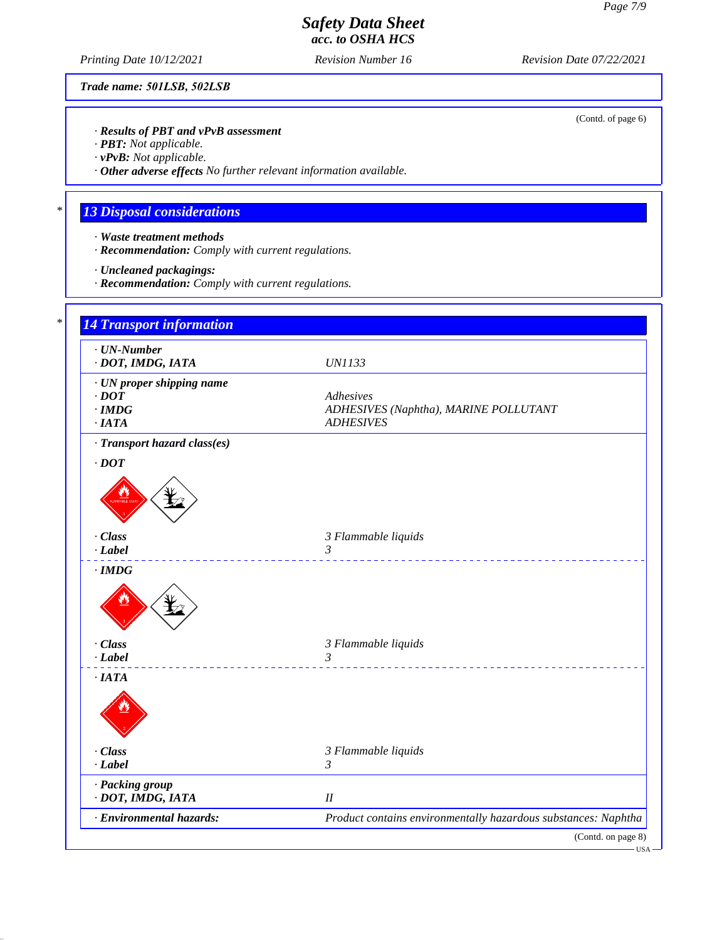(Contd. of page 6)

# *Safety Data Sheet acc. to OSHA HCS*

*Printing Date 10/12/2021 Revision Number 16 Revision Date 07/22/2021*

*Trade name: 501LSB, 502LSB*

*· Results of PBT and vPvB assessment*

*· PBT: Not applicable.*

*· vPvB: Not applicable.*

*· Other adverse effects No further relevant information available.*

# *\* 13 Disposal considerations*

- *· Waste treatment methods*
- *· Recommendation: Comply with current regulations.*
- *· Uncleaned packagings:*
- *· Recommendation: Comply with current regulations.*

| $\cdot$ UN-Number<br>· DOT, IMDG, IATA | <b>UN1133</b>                                                  |
|----------------------------------------|----------------------------------------------------------------|
| · UN proper shipping name              |                                                                |
| $\cdot$ DOT                            | Adhesives                                                      |
| $\cdot$ IMDG<br>·IATA                  | ADHESIVES (Naphtha), MARINE POLLUTANT<br><b>ADHESIVES</b>      |
| · Transport hazard class(es)           |                                                                |
| $\cdot$ DOT                            |                                                                |
|                                        |                                                                |
| · Class                                | 3 Flammable liquids                                            |
| $-Label$                               | 3<br>___________________________                               |
|                                        |                                                                |
| · Class                                | 3 Flammable liquids                                            |
| $-Label$                               | $\mathfrak{Z}$                                                 |
| $\cdot$ IATA                           |                                                                |
|                                        |                                                                |
| · Class                                | 3 Flammable liquids                                            |
| $\cdot$ Label                          | $\mathfrak{Z}$                                                 |
| · Packing group<br>· DOT, IMDG, IATA   | I                                                              |
| · Environmental hazards:               | Product contains environmentally hazardous substances: Naphtha |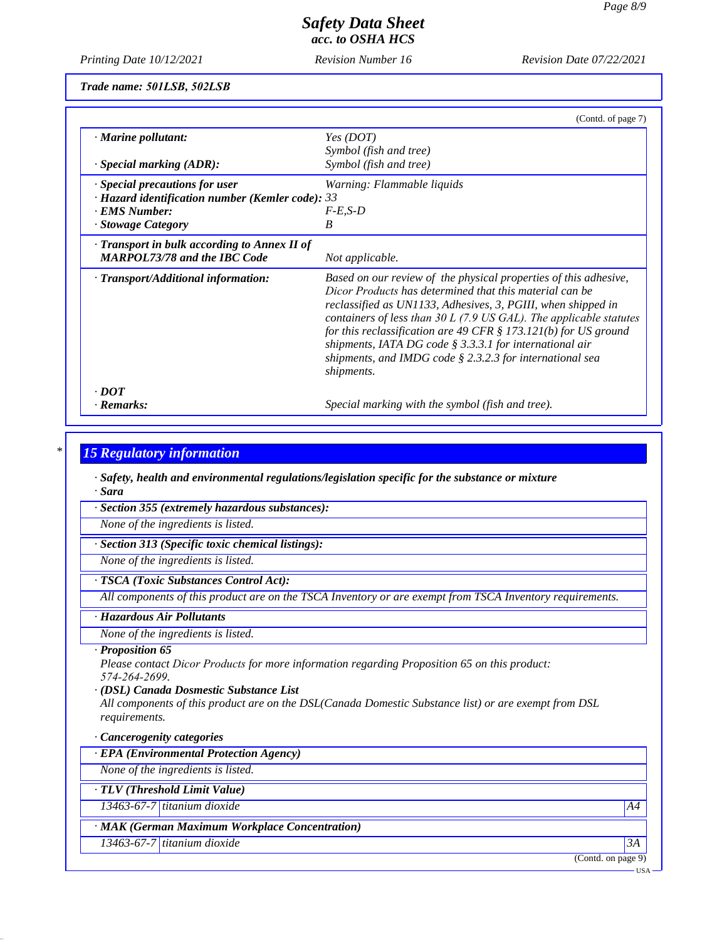*Printing Date 10/12/2021 Revision Number 16 Revision Date 07/22/2021*

*Trade name: 501LSB, 502LSB*

|                                                        | (Contd. of page 7)                                                                                                                                                                                                                                                                                                                                                                                                                                                                   |
|--------------------------------------------------------|--------------------------------------------------------------------------------------------------------------------------------------------------------------------------------------------------------------------------------------------------------------------------------------------------------------------------------------------------------------------------------------------------------------------------------------------------------------------------------------|
| $\cdot$ Marine pollutant:                              | Yes (DOT)                                                                                                                                                                                                                                                                                                                                                                                                                                                                            |
|                                                        | Symbol (fish and tree)                                                                                                                                                                                                                                                                                                                                                                                                                                                               |
| $\cdot$ Special marking (ADR):                         | Symbol (fish and tree)                                                                                                                                                                                                                                                                                                                                                                                                                                                               |
| Special precautions for user                           | Warning: Flammable liquids                                                                                                                                                                                                                                                                                                                                                                                                                                                           |
| $\cdot$ Hazard identification number (Kemler code): 33 |                                                                                                                                                                                                                                                                                                                                                                                                                                                                                      |
| · EMS Number:                                          | $F-E.S-D$                                                                                                                                                                                                                                                                                                                                                                                                                                                                            |
| · Stowage Category                                     | B                                                                                                                                                                                                                                                                                                                                                                                                                                                                                    |
| $\cdot$ Transport in bulk according to Annex II of     |                                                                                                                                                                                                                                                                                                                                                                                                                                                                                      |
| <b>MARPOL73/78 and the IBC Code</b>                    | Not applicable.                                                                                                                                                                                                                                                                                                                                                                                                                                                                      |
| $\cdot$ Transport/Additional information:              | Based on our review of the physical properties of this adhesive,<br>Dicor Products has determined that this material can be<br>reclassified as UN1133, Adhesives, 3, PGIII, when shipped in<br>containers of less than $30 L$ (7.9 US GAL). The applicable statutes<br>for this reclassification are 49 CFR $\S$ 173.121(b) for US ground<br>shipments, IATA DG code $\S$ 3.3.3.1 for international air<br>shipments, and IMDG code $\S$ 2.3.2.3 for international sea<br>shipments. |
| $\cdot$ DOT                                            |                                                                                                                                                                                                                                                                                                                                                                                                                                                                                      |
| · Remarks:                                             | Special marking with the symbol (fish and tree).                                                                                                                                                                                                                                                                                                                                                                                                                                     |

### *\* 15 Regulatory information*

*· Safety, health and environmental regulations/legislation specific for the substance or mixture · Sara*

*· Section 355 (extremely hazardous substances):*

*None of the ingredients is listed.*

*· Section 313 (Specific toxic chemical listings):*

*None of the ingredients is listed.*

### *· TSCA (Toxic Substances Control Act):*

*All components of this product are on the TSCA Inventory or are exempt from TSCA Inventory requirements.*

### *· Hazardous Air Pollutants*

*None of the ingredients is listed.*

### *· Proposition 65*

*Please contact Dicor Products for more information regarding Proposition 65 on this product: 574-264-2699.*

#### *· (DSL) Canada Dosmestic Substance List*

*All components of this product are on the DSL(Canada Domestic Substance list) or are exempt from DSL requirements.*

### *· Cancerogenity categories*

*· EPA (Environmental Protection Agency)*

*None of the ingredients is listed.*

*· TLV (Threshold Limit Value)*

*13463-67-7 titanium dioxide A4*

## *· MAK (German Maximum Workplace Concentration)*

*13463-67-7 titanium dioxide 3A*

(Contd. on page 9)